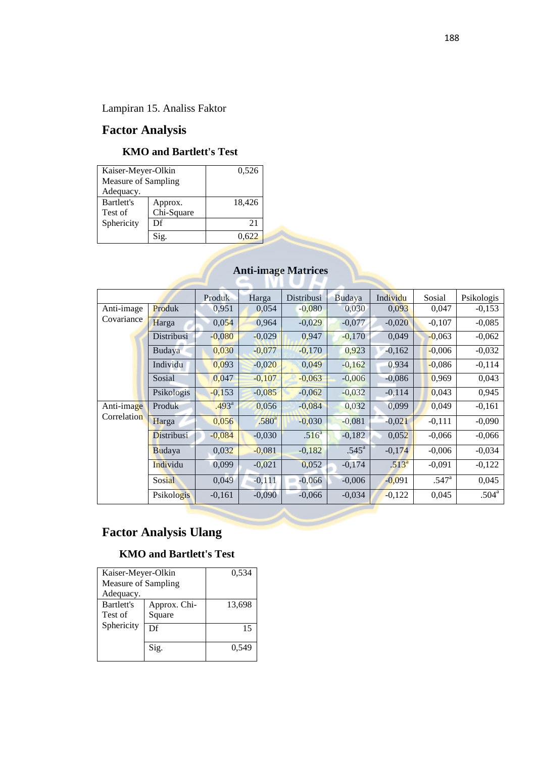Lampiran 15. Analiss Faktor

## **Factor Analysis**

#### **KMO and Bartlett's Test**

| Kaiser-Meyer-Olkin  | 0,526      |        |
|---------------------|------------|--------|
| Measure of Sampling |            |        |
| Adequacy.           |            |        |
| Bartlett's          | Approx.    | 18,426 |
| Test of             | Chi-Square |        |
| Sphericity          | Df         | 21     |
|                     |            | 622    |

### **Anti-image Matrices**

|             |            | Produk            | Harga             | Distribusi        | Budaya            | Individu   | Sosial         | Psikologis        |
|-------------|------------|-------------------|-------------------|-------------------|-------------------|------------|----------------|-------------------|
| Anti-image  | Produk     | 0,951             | 0,054             | $-0,080$          | 0,030             | 0.093      | 0,047          | $-0,153$          |
| Covariance  | Harga      | 0,054             | 0,964             | $-0,029$          | $-0,077$          | $-0,020$   | $-0,107$       | $-0,085$          |
|             | Distribusi | $-0,080$          | $-0,029$          | 0.947             | $-0,170$          | 0,049      | $-0,063$       | $-0,062$          |
|             | Budaya     | 0,030             | $-0,077$          | $-0,170$          | 0,923             | $-0,162$   | $-0,006$       | $-0,032$          |
|             | Individu   | 0,093             | $-0,020$          | 0,049             | $-0,162$          | 0,934      | $-0,086$       | $-0,114$          |
|             | Sosial     | 0,047             | $-0,107$          | $-0,063$          | $-0,006$          | $-0,086$   | 0,969          | 0,043             |
|             | Psikologis | $-0,153$          | $-0,085$          | $-0,062$          | $-0,032$          | $-0.114$   | 0,043          | 0,945             |
| Anti-image  | Produk     | .493 <sup>a</sup> | 0,056             | $-0,084$          | 0,032             | 0,099      | 0,049          | $-0,161$          |
| Correlation | Harga      | 0,056             | .580 <sup>a</sup> | $-0,030$          | $-0,081$          | $-0,021$   | $-0,111$       | $-0,090$          |
|             | Distribusi | $-0,084$          | $-0,030$          | .516 <sup>a</sup> | $-0,182$          | 0,052      | $-0,066$       | $-0,066$          |
|             | Budaya     | 0,032             | $-0,081$          | $-0,182$          | .545 <sup>a</sup> | $-0,174$   | $-0,006$       | $-0,034$          |
|             | Individu   | 0,099             | $-0,021$          | 0,052             | $-0,174$          | $.513^{a}$ | $-0,091$       | $-0,122$          |
|             | Sosial     | 0,049             | $-0,111$          | $-0,066$          | $-0,006$          | $-0,091$   | $.547^{\rm a}$ | 0,045             |
|             | Psikologis | $-0,161$          | $-0,090$          | $-0,066$          | $-0,034$          | $-0,122$   | 0,045          | .504 <sup>a</sup> |
|             |            |                   |                   |                   |                   |            |                |                   |

## **Factor Analysis Ulang**

#### **KMO and Bartlett's Test**

| Kaiser-Meyer-Olkin<br>Measure of Sampling<br>Adequacy. | 0,534                  |        |
|--------------------------------------------------------|------------------------|--------|
| <b>Bartlett's</b><br>Test of                           | Approx. Chi-<br>Square | 13,698 |
| Sphericity                                             | Df                     | 15     |
|                                                        | Sig.                   |        |